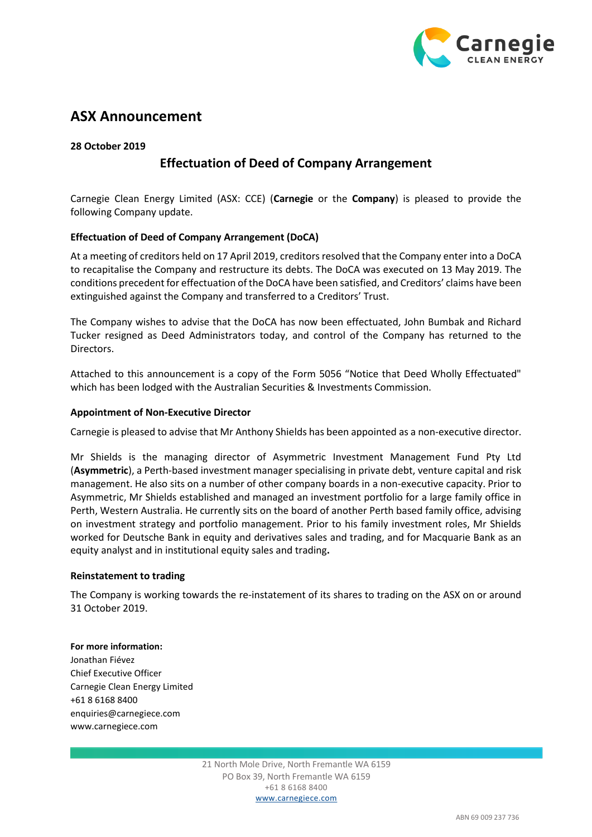

# **ASX Announcement**

**28 October 2019**

## **Effectuation of Deed of Company Arrangement**

Carnegie Clean Energy Limited (ASX: CCE) (**Carnegie** or the **Company**) is pleased to provide the following Company update.

### **Effectuation of Deed of Company Arrangement (DoCA)**

At a meeting of creditors held on 17 April 2019, creditors resolved that the Company enter into a DoCA to recapitalise the Company and restructure its debts. The DoCA was executed on 13 May 2019. The conditions precedent for effectuation of the DoCA have been satisfied, and Creditors' claims have been extinguished against the Company and transferred to a Creditors' Trust.

The Company wishes to advise that the DoCA has now been effectuated, John Bumbak and Richard Tucker resigned as Deed Administrators today, and control of the Company has returned to the Directors.

Attached to this announcement is a copy of the Form 5056 "Notice that Deed Wholly Effectuated" which has been lodged with the Australian Securities & Investments Commission.

### **Appointment of Non-Executive Director**

Carnegie is pleased to advise that Mr Anthony Shields has been appointed as a non-executive director.

Mr Shields is the managing director of Asymmetric Investment Management Fund Pty Ltd (**Asymmetric**), a Perth-based investment manager specialising in private debt, venture capital and risk management. He also sits on a number of other company boards in a non-executive capacity. Prior to Asymmetric, Mr Shields established and managed an investment portfolio for a large family office in Perth, Western Australia. He currently sits on the board of another Perth based family office, advising on investment strategy and portfolio management. Prior to his family investment roles, Mr Shields worked for Deutsche Bank in equity and derivatives sales and trading, and for Macquarie Bank as an equity analyst and in institutional equity sales and trading**.** 

### **Reinstatement to trading**

The Company is working towards the re-instatement of its shares to trading on the ASX on or around 31 October 2019.

### **For more information:**

Jonathan Fiévez Chief Executive Officer Carnegie Clean Energy Limited +61 8 6168 8400 enquiries@carnegiece.com www.carnegiece.com

> 21 North Mole Drive, North Fremantle WA 6159 PO Box 39, North Fremantle WA 6159 +61 8 6168 8400 www.carnegiece.com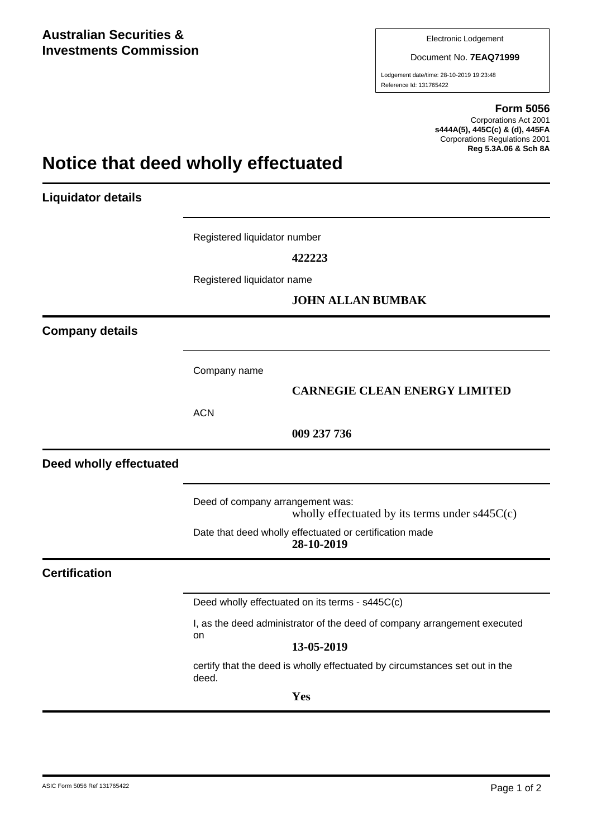Document No. **7EAQ71999**

Lodgement date/time: 28-10-2019 19:23:48 Reference Id: 131765422

#### **Form 5056**

Corporations Act 2001 **s444A(5), 445C(c) & (d), 445FA** Corporations Regulations 2001 **Reg 5.3A.06 & Sch 8A**

# **Notice that deed wholly effectuated**

**Liquidator details**

Registered liquidator number

**422223**

Registered liquidator name

### **JOHN ALLAN BUMBAK**

**Company details**

Company name

### **CARNEGIE CLEAN ENERGY LIMITED**

**ACN** 

**009 237 736**

**Deed wholly effectuated**

Deed of company arrangement was: wholly effectuated by its terms under s445C(c)

Date that deed wholly effectuated or certification made **28-10-2019**

### **Certification**

Deed wholly effectuated on its terms - s445C(c)

I, as the deed administrator of the deed of company arrangement executed on

### **13-05-2019**

certify that the deed is wholly effectuated by circumstances set out in the deed.

**Yes**